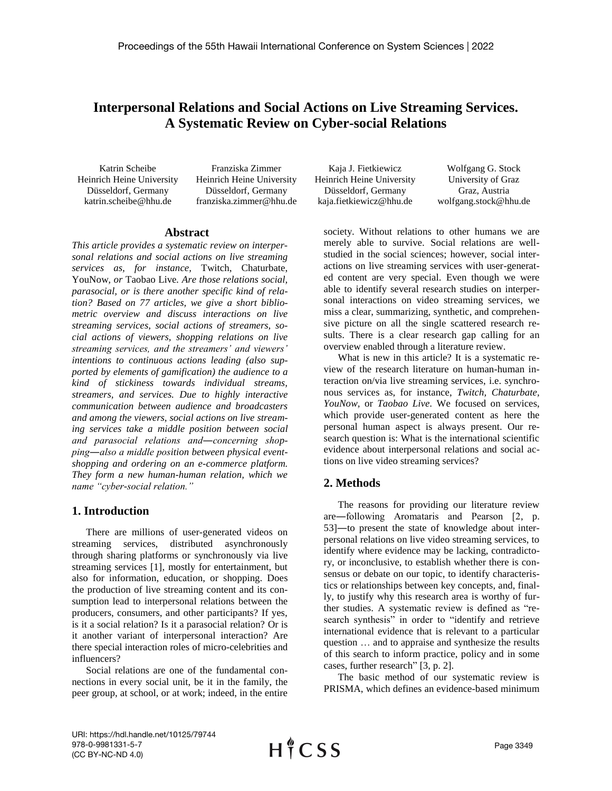# **Interpersonal Relations and Social Actions on Live Streaming Services. A Systematic Review on Cyber-social Relations**

Katrin Scheibe Heinrich Heine University Düsseldorf, Germany katrin.scheibe@hhu.de

Franziska Zimmer Heinrich Heine University Düsseldorf, Germany franziska.zimmer@hhu.de

#### **Abstract**

*This article provides a systematic review on interpersonal relations and social actions on live streaming services as, for instance,* Twitch, Chaturbate, YouNow*, or* Taobao Live*. Are those relations social, parasocial, or is there another specific kind of relation? Based on 77 articles, we give a short bibliometric overview and discuss interactions on live streaming services, social actions of streamers, social actions of viewers, shopping relations on live streaming services, and the streamers' and viewers' intentions to continuous actions leading (also supported by elements of gamification) the audience to a kind of stickiness towards individual streams, streamers, and services. Due to highly interactive communication between audience and broadcasters and among the viewers, social actions on live streaming services take a middle position between social and parasocial relations and―concerning shopping―also a middle position between physical eventshopping and ordering on an e-commerce platform. They form a new human-human relation, which we name "cyber-social relation."*

#### **1. Introduction**

There are millions of user-generated videos on streaming services, distributed asynchronously through sharing platforms or synchronously via live streaming services [1], mostly for entertainment, but also for information, education, or shopping. Does the production of live streaming content and its consumption lead to interpersonal relations between the producers, consumers, and other participants? If yes, is it a social relation? Is it a parasocial relation? Or is it another variant of interpersonal interaction? Are there special interaction roles of micro-celebrities and influencers?

Social relations are one of the fundamental connections in every social unit, be it in the family, the peer group, at school, or at work; indeed, in the entire

Kaja J. Fietkiewicz Heinrich Heine University Düsseldorf, Germany kaja.fietkiewicz@hhu.de

Wolfgang G. Stock University of Graz Graz, Austria wolfgang.stock@hhu.de

society. Without relations to other humans we are merely able to survive. Social relations are wellstudied in the social sciences; however, social interactions on live streaming services with user-generated content are very special. Even though we were able to identify several research studies on interpersonal interactions on video streaming services, we miss a clear, summarizing, synthetic, and comprehensive picture on all the single scattered research results. There is a clear research gap calling for an overview enabled through a literature review.

What is new in this article? It is a systematic review of the research literature on human-human interaction on/via live streaming services, i.e. synchronous services as, for instance, *Twitch, Chaturbate, YouNow,* or *Taobao Live*. We focused on services, which provide user-generated content as here the personal human aspect is always present. Our research question is: What is the international scientific evidence about interpersonal relations and social actions on live video streaming services?

# **2. Methods**

The reasons for providing our literature review are―following Aromataris and Pearson [2, p. 53]―to present the state of knowledge about interpersonal relations on live video streaming services, to identify where evidence may be lacking, contradictory, or inconclusive, to establish whether there is consensus or debate on our topic, to identify characteristics or relationships between key concepts, and, finally, to justify why this research area is worthy of further studies. A systematic review is defined as "research synthesis" in order to "identify and retrieve international evidence that is relevant to a particular question … and to appraise and synthesize the results of this search to inform practice, policy and in some cases, further research" [3, p. 2].

The basic method of our systematic review is PRISMA, which defines an evidence-based minimum

URI: https://hdl.handle.net/10125/79744 978-0-9981331-5-7 (CC BY-NC-ND 4.0)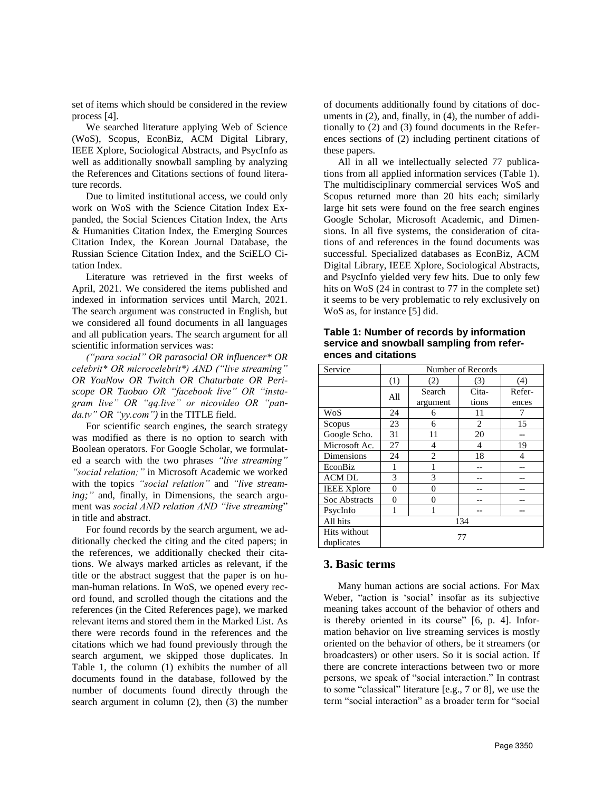set of items which should be considered in the review process [4].

We searched literature applying Web of Science (WoS), Scopus, EconBiz, ACM Digital Library, IEEE Xplore, Sociological Abstracts, and PsycInfo as well as additionally snowball sampling by analyzing the References and Citations sections of found literature records.

Due to limited institutional access, we could only work on WoS with the Science Citation Index Expanded, the Social Sciences Citation Index, the Arts & Humanities Citation Index, the Emerging Sources Citation Index, the Korean Journal Database, the Russian Science Citation Index, and the SciELO Citation Index.

Literature was retrieved in the first weeks of April, 2021. We considered the items published and indexed in information services until March, 2021. The search argument was constructed in English, but we considered all found documents in all languages and all publication years. The search argument for all scientific information services was:

*("para social" OR parasocial OR influencer\* OR celebrit\* OR microcelebrit\*) AND ("live streaming" OR YouNow OR Twitch OR Chaturbate OR Periscope OR Taobao OR "facebook live" OR "instagram live" OR "qq.live" or nicovideo OR "panda.tv" OR "yy.com")* in the TITLE field.

For scientific search engines, the search strategy was modified as there is no option to search with Boolean operators. For Google Scholar, we formulated a search with the two phrases *"live streaming" "social relation;"* in Microsoft Academic we worked with the topics *"social relation"* and *"live streaming;"* and, finally, in Dimensions, the search argument was *social AND relation AND "live streaming*" in title and abstract.

For found records by the search argument, we additionally checked the citing and the cited papers; in the references, we additionally checked their citations. We always marked articles as relevant, if the title or the abstract suggest that the paper is on human-human relations. In WoS, we opened every record found, and scrolled though the citations and the references (in the Cited References page), we marked relevant items and stored them in the Marked List. As there were records found in the references and the citations which we had found previously through the search argument, we skipped those duplicates. In Table 1, the column (1) exhibits the number of all documents found in the database, followed by the number of documents found directly through the search argument in column (2), then (3) the number of documents additionally found by citations of documents in (2), and, finally, in (4), the number of additionally to (2) and (3) found documents in the References sections of (2) including pertinent citations of these papers.

All in all we intellectually selected 77 publications from all applied information services (Table 1). The multidisciplinary commercial services WoS and Scopus returned more than 20 hits each; similarly large hit sets were found on the free search engines Google Scholar, Microsoft Academic, and Dimensions. In all five systems, the consideration of citations of and references in the found documents was successful. Specialized databases as EconBiz, ACM Digital Library, IEEE Xplore, Sociological Abstracts, and PsycInfo yielded very few hits. Due to only few hits on WoS (24 in contrast to 77 in the complete set) it seems to be very problematic to rely exclusively on WoS as, for instance [5] did.

**Table 1: Number of records by information service and snowball sampling from references and citations**

| Service            | Number of Records |                |       |        |  |
|--------------------|-------------------|----------------|-------|--------|--|
|                    | (1)               | (2)            | (3)   | (4)    |  |
|                    | All               | Search         | Cita- | Refer- |  |
|                    |                   | argument       | tions | ences  |  |
| WoS                | 24                | 6              | 11    | 7      |  |
| Scopus             | 23                | 6              | 2     | 15     |  |
| Google Scho.       | 31                | 11             | 20    |        |  |
| Microsoft Ac.      | 27                | 4              | 4     | 19     |  |
| Dimensions         | 24                | $\overline{c}$ | 18    | 4      |  |
| EconBiz            | 1                 | 1              |       |        |  |
| <b>ACM DL</b>      | 3                 | 3              |       |        |  |
| <b>IEEE</b> Xplore | 0                 | 0              |       |        |  |
| Soc Abstracts      | 0                 | 0              |       |        |  |
| PsycInfo           |                   |                |       |        |  |
| All hits           | 134               |                |       |        |  |
| Hits without       | 77                |                |       |        |  |
| duplicates         |                   |                |       |        |  |

#### **3. Basic terms**

Many human actions are social actions. For Max Weber, "action is 'social' insofar as its subjective meaning takes account of the behavior of others and is thereby oriented in its course" [6, p. 4]. Information behavior on live streaming services is mostly oriented on the behavior of others, be it streamers (or broadcasters) or other users. So it is social action. If there are concrete interactions between two or more persons, we speak of "social interaction." In contrast to some "classical" literature [e.g., 7 or 8], we use the term "social interaction" as a broader term for "social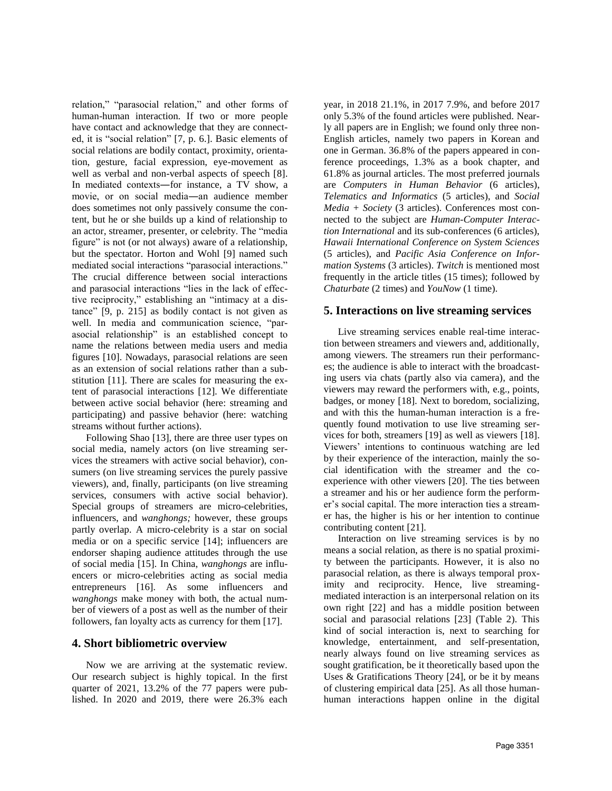relation," "parasocial relation," and other forms of human-human interaction. If two or more people have contact and acknowledge that they are connected, it is "social relation" [7, p. 6.]. Basic elements of social relations are bodily contact, proximity, orientation, gesture, facial expression, eye-movement as well as verbal and non-verbal aspects of speech [8]. In mediated contexts―for instance, a TV show, a movie, or on social media―an audience member does sometimes not only passively consume the content, but he or she builds up a kind of relationship to an actor, streamer, presenter, or celebrity. The "media figure" is not (or not always) aware of a relationship, but the spectator. Horton and Wohl [9] named such mediated social interactions "parasocial interactions." The crucial difference between social interactions and parasocial interactions "lies in the lack of effective reciprocity," establishing an "intimacy at a distance" [9, p. 215] as bodily contact is not given as well. In media and communication science, "parasocial relationship" is an established concept to name the relations between media users and media figures [10]. Nowadays, parasocial relations are seen as an extension of social relations rather than a substitution [11]. There are scales for measuring the extent of parasocial interactions [12]. We differentiate between active social behavior (here: streaming and participating) and passive behavior (here: watching streams without further actions).

Following Shao [13], there are three user types on social media, namely actors (on live streaming services the streamers with active social behavior), consumers (on live streaming services the purely passive viewers), and, finally, participants (on live streaming services, consumers with active social behavior). Special groups of streamers are micro-celebrities, influencers, and *wanghongs;* however, these groups partly overlap. A micro-celebrity is a star on social media or on a specific service [14]; influencers are endorser shaping audience attitudes through the use of social media [15]. In China, *wanghongs* are influencers or micro-celebrities acting as social media entrepreneurs [16]. As some influencers and *wanghongs* make money with both, the actual number of viewers of a post as well as the number of their followers, fan loyalty acts as currency for them [17].

#### **4. Short bibliometric overview**

Now we are arriving at the systematic review. Our research subject is highly topical. In the first quarter of 2021, 13.2% of the 77 papers were published. In 2020 and 2019, there were 26.3% each

year, in 2018 21.1%, in 2017 7.9%, and before 2017 only 5.3% of the found articles were published. Nearly all papers are in English; we found only three non-English articles, namely two papers in Korean and one in German. 36.8% of the papers appeared in conference proceedings, 1.3% as a book chapter, and 61.8% as journal articles. The most preferred journals are *Computers in Human Behavior* (6 articles), *Telematics and Informatics* (5 articles), and *Social Media + Society* (3 articles). Conferences most connected to the subject are *Human-Computer Interaction International* and its sub-conferences (6 articles), *Hawaii International Conference on System Sciences* (5 articles), and *Pacific Asia Conference on Information Systems* (3 articles). *Twitch* is mentioned most frequently in the article titles (15 times); followed by *Chaturbate* (2 times) and *YouNow* (1 time).

# **5. Interactions on live streaming services**

Live streaming services enable real-time interaction between streamers and viewers and, additionally, among viewers. The streamers run their performances; the audience is able to interact with the broadcasting users via chats (partly also via camera), and the viewers may reward the performers with, e.g., points, badges, or money [18]. Next to boredom, socializing, and with this the human-human interaction is a frequently found motivation to use live streaming services for both, streamers [19] as well as viewers [18]. Viewers' intentions to continuous watching are led by their experience of the interaction, mainly the social identification with the streamer and the coexperience with other viewers [20]. The ties between a streamer and his or her audience form the performer's social capital. The more interaction ties a streamer has, the higher is his or her intention to continue contributing content [21].

Interaction on live streaming services is by no means a social relation, as there is no spatial proximity between the participants. However, it is also no parasocial relation, as there is always temporal proximity and reciprocity. Hence, live streamingmediated interaction is an interpersonal relation on its own right [22] and has a middle position between social and parasocial relations [23] (Table 2). This kind of social interaction is, next to searching for knowledge, entertainment, and self-presentation, nearly always found on live streaming services as sought gratification, be it theoretically based upon the Uses & Gratifications Theory [24], or be it by means of clustering empirical data [25]. As all those humanhuman interactions happen online in the digital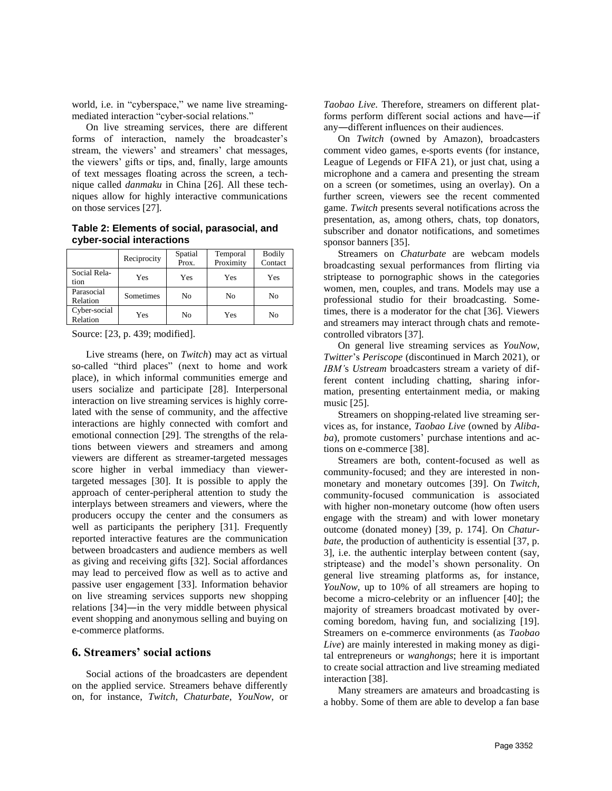world, i.e. in "cyberspace," we name live streamingmediated interaction "cyber-social relations."

On live streaming services, there are different forms of interaction, namely the broadcaster's stream, the viewers' and streamers' chat messages, the viewers' gifts or tips, and, finally, large amounts of text messages floating across the screen, a technique called *danmaku* in China [26]. All these techniques allow for highly interactive communications on those services [27].

**Table 2: Elements of social, parasocial, and cyber-social interactions**

|                          | Reciprocity | Spatial | Temporal  | <b>Bodily</b> |
|--------------------------|-------------|---------|-----------|---------------|
|                          |             | Prox.   | Proximity | Contact       |
| Social Rela-<br>tion     | Yes         | Yes     | Yes       | Yes           |
| Parasocial<br>Relation   | Sometimes   | No      | No        | No            |
| Cyber-social<br>Relation | Yes         | No      | Yes       | No            |

Source: [23, p. 439; modified].

Live streams (here, on *Twitch*) may act as virtual so-called "third places" (next to home and work place), in which informal communities emerge and users socialize and participate [28]. Interpersonal interaction on live streaming services is highly correlated with the sense of community, and the affective interactions are highly connected with comfort and emotional connection [29]. The strengths of the relations between viewers and streamers and among viewers are different as streamer-targeted messages score higher in verbal immediacy than viewertargeted messages [30]. It is possible to apply the approach of center-peripheral attention to study the interplays between streamers and viewers, where the producers occupy the center and the consumers as well as participants the periphery [31]. Frequently reported interactive features are the communication between broadcasters and audience members as well as giving and receiving gifts [32]. Social affordances may lead to perceived flow as well as to active and passive user engagement [33]. Information behavior on live streaming services supports new shopping relations [34]―in the very middle between physical event shopping and anonymous selling and buying on e-commerce platforms.

#### **6. Streamers' social actions**

Social actions of the broadcasters are dependent on the applied service. Streamers behave differently on, for instance, *Twitch*, *Chaturbate*, *YouNow*, or *Taobao Live*. Therefore, streamers on different platforms perform different social actions and have―if any―different influences on their audiences.

On *Twitch* (owned by Amazon), broadcasters comment video games, e-sports events (for instance, League of Legends or FIFA 21), or just chat, using a microphone and a camera and presenting the stream on a screen (or sometimes, using an overlay). On a further screen, viewers see the recent commented game. *Twitch* presents several notifications across the presentation, as, among others, chats, top donators, subscriber and donator notifications, and sometimes sponsor banners [35].

Streamers on *Chaturbate* are webcam models broadcasting sexual performances from flirting via striptease to pornographic shows in the categories women, men, couples, and trans. Models may use a professional studio for their broadcasting. Sometimes, there is a moderator for the chat [36]. Viewers and streamers may interact through chats and remotecontrolled vibrators [37].

On general live streaming services as *YouNow*, *Twitter*'s *Periscope* (discontinued in March 2021), or *IBM'*s *Ustream* broadcasters stream a variety of different content including chatting, sharing information, presenting entertainment media, or making music [25].

Streamers on shopping-related live streaming services as, for instance, *Taobao Live* (owned by *Alibaba*), promote customers' purchase intentions and actions on e-commerce [38].

Streamers are both, content-focused as well as community-focused; and they are interested in nonmonetary and monetary outcomes [39]. On *Twitch*, community-focused communication is associated with higher non-monetary outcome (how often users engage with the stream) and with lower monetary outcome (donated money) [39, p. 174]. On *Chaturbate*, the production of authenticity is essential [37, p. 3], i.e. the authentic interplay between content (say, striptease) and the model's shown personality. On general live streaming platforms as, for instance, *YouNow*, up to 10% of all streamers are hoping to become a micro-celebrity or an influencer [40]; the majority of streamers broadcast motivated by overcoming boredom, having fun, and socializing [19]. Streamers on e-commerce environments (as *Taobao Live*) are mainly interested in making money as digital entrepreneurs or *wanghongs*; here it is important to create social attraction and live streaming mediated interaction [38].

Many streamers are amateurs and broadcasting is a hobby. Some of them are able to develop a fan base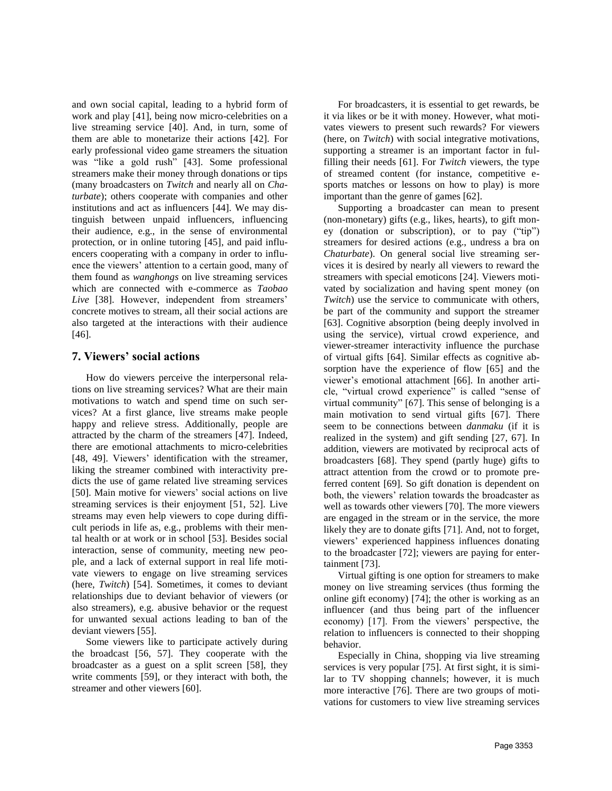and own social capital, leading to a hybrid form of work and play [41], being now micro-celebrities on a live streaming service [40]. And, in turn, some of them are able to monetarize their actions [42]. For early professional video game streamers the situation was "like a gold rush" [43]. Some professional streamers make their money through donations or tips (many broadcasters on *Twitch* and nearly all on *Chaturbate*); others cooperate with companies and other institutions and act as influencers [44]. We may distinguish between unpaid influencers, influencing their audience, e.g., in the sense of environmental protection, or in online tutoring [45], and paid influencers cooperating with a company in order to influence the viewers' attention to a certain good, many of them found as *wanghongs* on live streaming services which are connected with e-commerce as *Taobao Live* [38]. However, independent from streamers' concrete motives to stream, all their social actions are also targeted at the interactions with their audience [46].

# **7. Viewers' social actions**

How do viewers perceive the interpersonal relations on live streaming services? What are their main motivations to watch and spend time on such services? At a first glance, live streams make people happy and relieve stress. Additionally, people are attracted by the charm of the streamers [47]. Indeed, there are emotional attachments to micro-celebrities [48, 49]. Viewers' identification with the streamer, liking the streamer combined with interactivity predicts the use of game related live streaming services [50]. Main motive for viewers' social actions on live streaming services is their enjoyment [51, 52]. Live streams may even help viewers to cope during difficult periods in life as, e.g., problems with their mental health or at work or in school [53]. Besides social interaction, sense of community, meeting new people, and a lack of external support in real life motivate viewers to engage on live streaming services (here, *Twitch*) [54]. Sometimes, it comes to deviant relationships due to deviant behavior of viewers (or also streamers), e.g. abusive behavior or the request for unwanted sexual actions leading to ban of the deviant viewers [55].

Some viewers like to participate actively during the broadcast [56, 57]. They cooperate with the broadcaster as a guest on a split screen [58], they write comments [59], or they interact with both, the streamer and other viewers [60].

For broadcasters, it is essential to get rewards, be it via likes or be it with money. However, what motivates viewers to present such rewards? For viewers (here, on *Twitch*) with social integrative motivations, supporting a streamer is an important factor in fulfilling their needs [61]. For *Twitch* viewers, the type of streamed content (for instance, competitive esports matches or lessons on how to play) is more important than the genre of games [62].

Supporting a broadcaster can mean to present (non-monetary) gifts (e.g., likes, hearts), to gift money (donation or subscription), or to pay ("tip") streamers for desired actions (e.g., undress a bra on *Chaturbate*). On general social live streaming services it is desired by nearly all viewers to reward the streamers with special emoticons [24]. Viewers motivated by socialization and having spent money (on *Twitch*) use the service to communicate with others, be part of the community and support the streamer [63]. Cognitive absorption (being deeply involved in using the service), virtual crowd experience, and viewer-streamer interactivity influence the purchase of virtual gifts [64]. Similar effects as cognitive absorption have the experience of flow [65] and the viewer's emotional attachment [66]. In another article, "virtual crowd experience" is called "sense of virtual community" [67]. This sense of belonging is a main motivation to send virtual gifts [67]. There seem to be connections between *danmaku* (if it is realized in the system) and gift sending [27, 67]. In addition, viewers are motivated by reciprocal acts of broadcasters [68]. They spend (partly huge) gifts to attract attention from the crowd or to promote preferred content [69]. So gift donation is dependent on both, the viewers' relation towards the broadcaster as well as towards other viewers [70]. The more viewers are engaged in the stream or in the service, the more likely they are to donate gifts [71]. And, not to forget, viewers' experienced happiness influences donating to the broadcaster [72]; viewers are paying for entertainment [73].

Virtual gifting is one option for streamers to make money on live streaming services (thus forming the online gift economy) [74]; the other is working as an influencer (and thus being part of the influencer economy) [17]. From the viewers' perspective, the relation to influencers is connected to their shopping behavior.

Especially in China, shopping via live streaming services is very popular [75]. At first sight, it is similar to TV shopping channels; however, it is much more interactive [76]. There are two groups of motivations for customers to view live streaming services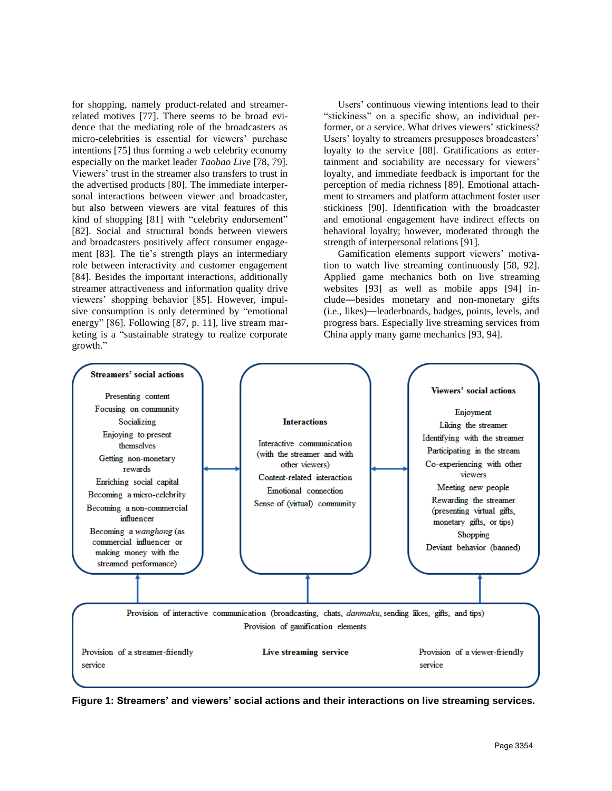for shopping, namely product-related and streamerrelated motives [77]. There seems to be broad evidence that the mediating role of the broadcasters as micro-celebrities is essential for viewers' purchase intentions [75] thus forming a web celebrity economy especially on the market leader *Taobao Live* [78, 79]. Viewers' trust in the streamer also transfers to trust in the advertised products [80]. The immediate interpersonal interactions between viewer and broadcaster, but also between viewers are vital features of this kind of shopping [81] with "celebrity endorsement" [82]. Social and structural bonds between viewers and broadcasters positively affect consumer engagement [83]. The tie's strength plays an intermediary role between interactivity and customer engagement [84]. Besides the important interactions, additionally streamer attractiveness and information quality drive viewers' shopping behavior [85]. However, impulsive consumption is only determined by "emotional energy" [86]. Following [87, p. 11], live stream marketing is a "sustainable strategy to realize corporate growth."

Users' continuous viewing intentions lead to their "stickiness" on a specific show, an individual performer, or a service. What drives viewers' stickiness? Users' loyalty to streamers presupposes broadcasters' loyalty to the service [88]. Gratifications as entertainment and sociability are necessary for viewers' loyalty, and immediate feedback is important for the perception of media richness [89]. Emotional attachment to streamers and platform attachment foster user stickiness [90]. Identification with the broadcaster and emotional engagement have indirect effects on behavioral loyalty; however, moderated through the strength of interpersonal relations [91].

Gamification elements support viewers' motivation to watch live streaming continuously [58, 92]. Applied game mechanics both on live streaming websites [93] as well as mobile apps [94] include―besides monetary and non-monetary gifts (i.e., likes)―leaderboards, badges, points, levels, and progress bars. Especially live streaming services from China apply many game mechanics [93, 94].



**Figure 1: Streamers' and viewers' social actions and their interactions on live streaming services.**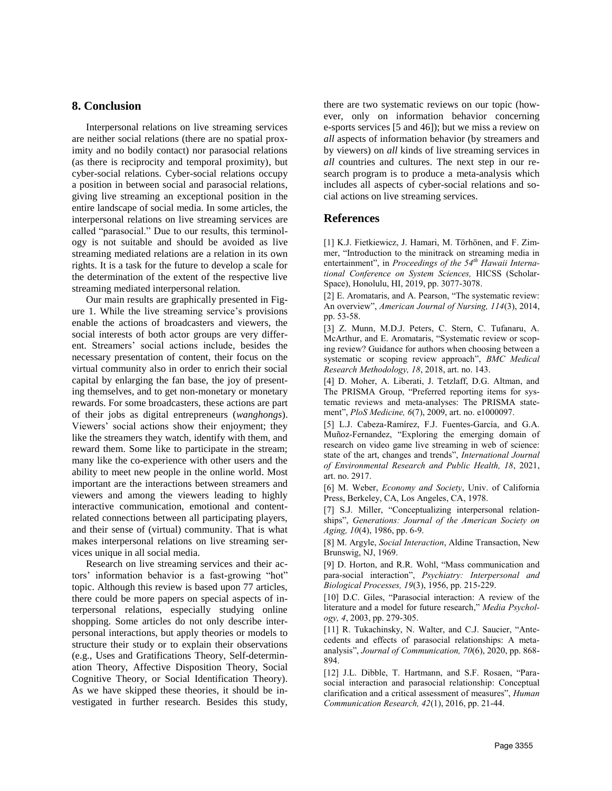## **8. Conclusion**

Interpersonal relations on live streaming services are neither social relations (there are no spatial proximity and no bodily contact) nor parasocial relations (as there is reciprocity and temporal proximity), but cyber-social relations. Cyber-social relations occupy a position in between social and parasocial relations, giving live streaming an exceptional position in the entire landscape of social media. In some articles, the interpersonal relations on live streaming services are called "parasocial." Due to our results, this terminology is not suitable and should be avoided as live streaming mediated relations are a relation in its own rights. It is a task for the future to develop a scale for the determination of the extent of the respective live streaming mediated interpersonal relation.

Our main results are graphically presented in Figure 1. While the live streaming service's provisions enable the actions of broadcasters and viewers, the social interests of both actor groups are very different. Streamers' social actions include, besides the necessary presentation of content, their focus on the virtual community also in order to enrich their social capital by enlarging the fan base, the joy of presenting themselves, and to get non-monetary or monetary rewards. For some broadcasters, these actions are part of their jobs as digital entrepreneurs (*wanghongs*). Viewers' social actions show their enjoyment; they like the streamers they watch, identify with them, and reward them. Some like to participate in the stream; many like the co-experience with other users and the ability to meet new people in the online world. Most important are the interactions between streamers and viewers and among the viewers leading to highly interactive communication, emotional and contentrelated connections between all participating players, and their sense of (virtual) community. That is what makes interpersonal relations on live streaming services unique in all social media.

Research on live streaming services and their actors' information behavior is a fast-growing "hot" topic. Although this review is based upon 77 articles, there could be more papers on special aspects of interpersonal relations, especially studying online shopping. Some articles do not only describe interpersonal interactions, but apply theories or models to structure their study or to explain their observations (e.g., Uses and Gratifications Theory, Self-determination Theory, Affective Disposition Theory, Social Cognitive Theory, or Social Identification Theory). As we have skipped these theories, it should be investigated in further research. Besides this study, there are two systematic reviews on our topic (however, only on information behavior concerning e-sports services [5 and 46]); but we miss a review on *all* aspects of information behavior (by streamers and by viewers) on *all* kinds of live streaming services in *all* countries and cultures. The next step in our research program is to produce a meta-analysis which includes all aspects of cyber-social relations and social actions on live streaming services.

### **References**

[1] K.J. Fietkiewicz, J. Hamari, M. Törhönen, and F. Zimmer, "Introduction to the minitrack on streaming media in entertainment", in *Proceedings of the 54th Hawaii International Conference on System Sciences,* HICSS (Scholar-Space), Honolulu, HI, 2019, pp. 3077-3078.

[2] E. Aromataris, and A. Pearson, "The systematic review: An overview", *American Journal of Nursing, 114*(3), 2014, pp. 53-58.

[3] Z. Munn, M.D.J. Peters, C. Stern, C. Tufanaru, A. McArthur, and E. Aromataris, "Systematic review or scoping review? Guidance for authors when choosing between a systematic or scoping review approach", *BMC Medical Research Methodology, 18*, 2018, art. no. 143.

[4] D. Moher, A. Liberati, J. Tetzlaff, D.G. Altman, and The PRISMA Group, "Preferred reporting items for systematic reviews and meta-analyses: The PRISMA statement", *PloS Medicine, 6*(7), 2009, art. no. e1000097.

[5] L.J. Cabeza-Ramírez, F.J. Fuentes-García, and G.A. Muñoz-Fernandez, "Exploring the emerging domain of research on video game live streaming in web of science: state of the art, changes and trends", *International Journal of Environmental Research and Public Health, 18*, 2021, art. no. 2917.

[6] M. Weber, *Economy and Society*, Univ. of California Press, Berkeley, CA, Los Angeles, CA, 1978.

[7] S.J. Miller, "Conceptualizing interpersonal relationships", *Generations: Journal of the American Society on Aging, 10*(4), 1986, pp. 6-9.

[8] M. Argyle, *Social Interaction*, Aldine Transaction, New Brunswig, NJ, 1969.

[9] D. Horton, and R.R. Wohl, "Mass communication and para-social interaction", *Psychiatry: Interpersonal and Biological Processes, 19*(3), 1956, pp. 215-229.

[10] D.C. Giles, "Parasocial interaction: A review of the literature and a model for future research," *Media Psychology, 4*, 2003, pp. 279-305.

[11] R. Tukachinsky, N. Walter, and C.J. Saucier, "Antecedents and effects of parasocial relationships: A metaanalysis", *Journal of Communication, 70*(6), 2020, pp. 868- 894.

[12] J.L. Dibble, T. Hartmann, and S.F. Rosaen, "Parasocial interaction and parasocial relationship: Conceptual clarification and a critical assessment of measures", *Human Communication Research, 42*(1), 2016, pp. 21-44.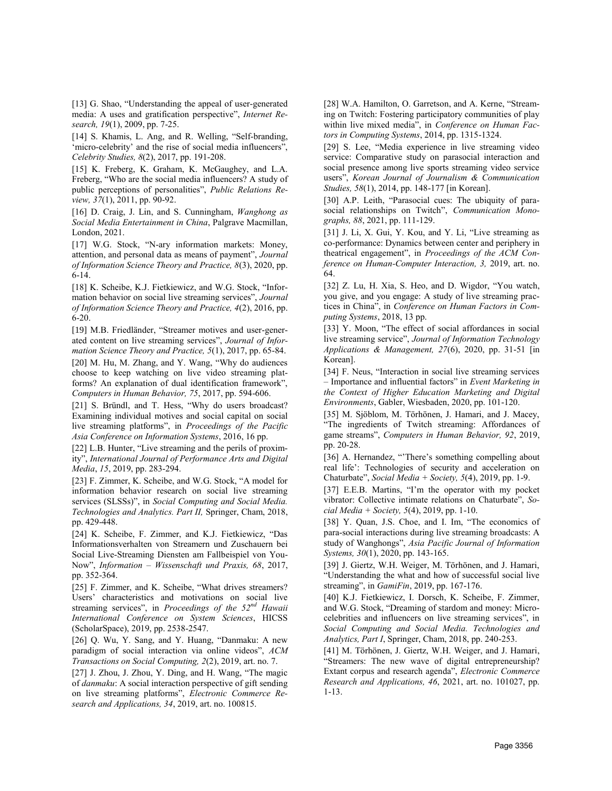[13] G. Shao, "Understanding the appeal of user-generated media: A uses and gratification perspective", *Internet Research, 19*(1), 2009, pp. 7-25.

[14] S. Khamis, L. Ang, and R. Welling, "Self-branding, 'micro-celebrity' and the rise of social media influencers", *Celebrity Studies, 8*(2), 2017, pp. 191-208.

[15] K. Freberg, K. Graham, K. McGaughey, and L.A. Freberg, "Who are the social media influencers? A study of public perceptions of personalities", *Public Relations Review, 37*(1), 2011, pp. 90-92.

[16] D. Craig, J. Lin, and S. Cunningham, *Wanghong as Social Media Entertainment in China*, Palgrave Macmillan, London, 2021.

[17] W.G. Stock, "N-ary information markets: Money, attention, and personal data as means of payment", *Journal of Information Science Theory and Practice, 8*(3), 2020, pp. 6-14.

[18] K. Scheibe, K.J. Fietkiewicz, and W.G. Stock, "Information behavior on social live streaming services", *Journal of Information Science Theory and Practice, 4*(2), 2016, pp. 6-20.

[19] M.B. Friedländer, "Streamer motives and user-generated content on live streaming services", *Journal of Information Science Theory and Practice, 5*(1), 2017, pp. 65-84.

[20] M. Hu, M. Zhang, and Y. Wang, "Why do audiences choose to keep watching on live video streaming platforms? An explanation of dual identification framework", *Computers in Human Behavior, 75*, 2017, pp. 594-606.

[21] S. Bründl, and T. Hess, "Why do users broadcast? Examining individual motives and social capital on social live streaming platforms", in *Proceedings of the Pacific Asia Conference on Information Systems*, 2016, 16 pp.

[22] L.B. Hunter, "Live streaming and the perils of proximity", *International Journal of Performance Arts and Digital Media*, *15*, 2019, pp. 283-294.

[23] F. Zimmer, K. Scheibe, and W.G. Stock, "A model for information behavior research on social live streaming services (SLSSs)", in *Social Computing and Social Media. Technologies and Analytics. Part II,* Springer, Cham, 2018, pp. 429-448.

[24] K. Scheibe, F. Zimmer, and K.J. Fietkiewicz, "Das Informationsverhalten von Streamern und Zuschauern bei Social Live-Streaming Diensten am Fallbeispiel von You-Now", *Information – Wissenschaft und Praxis, 68*, 2017, pp. 352-364.

[25] F. Zimmer, and K. Scheibe, "What drives streamers? Users' characteristics and motivations on social live streaming services", in *Proceedings of the 52nd Hawaii International Conference on System Sciences*, HICSS (ScholarSpace), 2019, pp. 2538-2547.

[26] Q. Wu, Y. Sang, and Y. Huang, "Danmaku: A new paradigm of social interaction via online videos", *ACM Transactions on Social Computing, 2*(2), 2019, art. no. 7.

[27] J. Zhou, J. Zhou, Y. Ding, and H. Wang, "The magic of *danmaku*: A social interaction perspective of gift sending on live streaming platforms", *Electronic Commerce Research and Applications, 34*, 2019, art. no. 100815.

[28] W.A. Hamilton, O. Garretson, and A. Kerne, "Streaming on Twitch: Fostering participatory communities of play within live mixed media", in *Conference on Human Factors in Computing Systems*, 2014, pp. 1315-1324.

[29] S. Lee, "Media experience in live streaming video service: Comparative study on parasocial interaction and social presence among live sports streaming video service users", *Korean Journal of Journalism & Communication Studies, 58*(1), 2014, pp. 148-177 [in Korean].

[30] A.P. Leith, "Parasocial cues: The ubiquity of parasocial relationships on Twitch", *Communication Monographs, 88*, 2021, pp. 111-129.

[31] J. Li, X. Gui, Y. Kou, and Y. Li, "Live streaming as co-performance: Dynamics between center and periphery in theatrical engagement", in *Proceedings of the ACM Conference on Human-Computer Interaction, 3,* 2019, art. no. 64.

[32] Z. Lu, H. Xia, S. Heo, and D. Wigdor, "You watch, you give, and you engage: A study of live streaming practices in China", in *Conference on Human Factors in Computing Systems*, 2018, 13 pp.

[33] Y. Moon, "The effect of social affordances in social live streaming service", *Journal of Information Technology Applications & Management, 27*(6), 2020, pp. 31-51 [in Korean].

[34] F. Neus, "Interaction in social live streaming services – Importance and influential factors" in *Event Marketing in the Context of Higher Education Marketing and Digital Environments*, Gabler, Wiesbaden, 2020, pp. 101-120.

[35] M. Sjöblom, M. Törhönen, J. Hamari, and J. Macey, "The ingredients of Twitch streaming: Affordances of game streams", *Computers in Human Behavior, 92*, 2019, pp. 20-28.

[36] A. Hernandez, "There's something compelling about real life': Technologies of security and acceleration on Chaturbate", *Social Media + Society, 5*(4), 2019, pp. 1-9.

[37] E.E.B. Martins, "I'm the operator with my pocket vibrator: Collective intimate relations on Chaturbate", *Social Media + Society, 5*(4), 2019, pp. 1-10.

[38] Y. Quan, J.S. Choe, and I. Im, "The economics of para-social interactions during live streaming broadcasts: A study of Wanghongs", *Asia Pacific Journal of Information Systems, 30*(1), 2020, pp. 143-165.

[39] J. Giertz, W.H. Weiger, M. Törhönen, and J. Hamari, "Understanding the what and how of successful social live streaming", in *GamiFin*, 2019, pp. 167-176.

[40] K.J. Fietkiewicz, I. Dorsch, K. Scheibe, F. Zimmer, and W.G. Stock, "Dreaming of stardom and money: Microcelebrities and influencers on live streaming services", in *Social Computing and Social Media. Technologies and Analytics, Part I*, Springer, Cham, 2018, pp. 240-253.

[41] M. Törhönen, J. Giertz, W.H. Weiger, and J. Hamari, "Streamers: The new wave of digital entrepreneurship? Extant corpus and research agenda", *Electronic Commerce Research and Applications, 46*, 2021, art. no. 101027, pp. 1-13.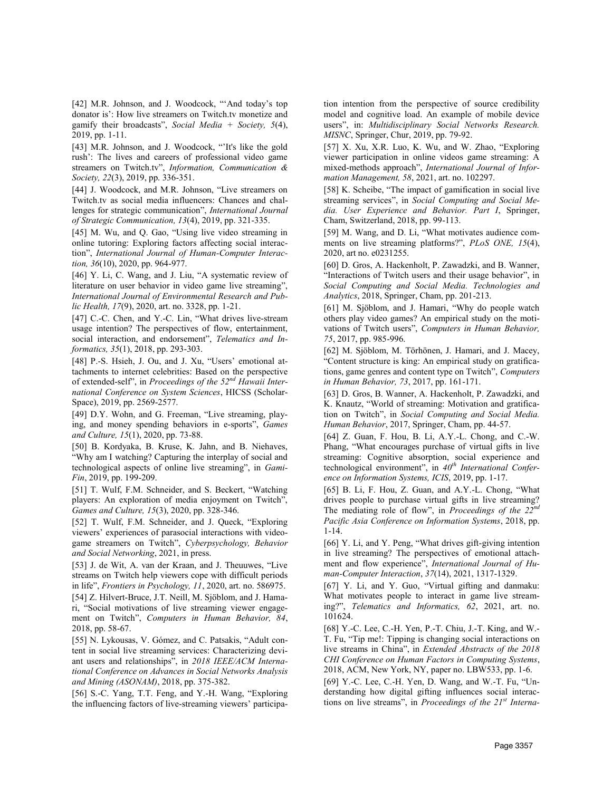[42] M.R. Johnson, and J. Woodcock, "'And today's top donator is': How live streamers on Twitch.tv monetize and gamify their broadcasts", *Social Media + Society, 5*(4), 2019, pp. 1-11.

[43] M.R. Johnson, and J. Woodcock, "It's like the gold rush': The lives and careers of professional video game streamers on Twitch.tv", *Information, Communication & Society, 22*(3), 2019, pp. 336-351.

[44] J. Woodcock, and M.R. Johnson, "Live streamers on Twitch.tv as social media influencers: Chances and challenges for strategic communication", *International Journal of Strategic Communication, 13*(4), 2019, pp. 321-335.

[45] M. Wu, and O. Gao, "Using live video streaming in online tutoring: Exploring factors affecting social interaction", *International Journal of Human-Computer Interaction, 36*(10), 2020, pp. 964-977.

[46] Y. Li, C. Wang, and J. Liu, "A systematic review of literature on user behavior in video game live streaming", *International Journal of Environmental Research and Public Health, 17*(9), 2020, art. no. 3328, pp. 1-21.

[47] C.-C. Chen, and Y.-C. Lin, "What drives live-stream usage intention? The perspectives of flow, entertainment, social interaction, and endorsement", *Telematics and Informatics, 35*(1), 2018, pp. 293-303.

[48] P.-S. Hsieh, J. Ou, and J. Xu, "Users' emotional attachments to internet celebrities: Based on the perspective of extended-self", in *Proceedings of the 52nd Hawaii International Conference on System Sciences*, HICSS (Scholar-Space), 2019, pp. 2569-2577.

[49] D.Y. Wohn, and G. Freeman, "Live streaming, playing, and money spending behaviors in e-sports", *Games and Culture, 15*(1), 2020, pp. 73-88.

[50] B. Kordyaka, B. Kruse, K. Jahn, and B. Niehaves, "Why am I watching? Capturing the interplay of social and technological aspects of online live streaming", in *Gami-Fin*, 2019, pp. 199-209.

[51] T. Wulf, F.M. Schneider, and S. Beckert, "Watching players: An exploration of media enjoyment on Twitch", *Games and Culture, 15*(3), 2020, pp. 328-346.

[52] T. Wulf, F.M. Schneider, and J. Queck, "Exploring viewers' experiences of parasocial interactions with videogame streamers on Twitch", *Cyberpsychology, Behavior and Social Networking*, 2021, in press.

[53] J. de Wit, A. van der Kraan, and J. Theuuwes, "Live streams on Twitch help viewers cope with difficult periods in life", *Frontiers in Psychology, 11*, 2020, art. no. 586975.

[54] Z. Hilvert-Bruce, J.T. Neill, M. Sjöblom, and J. Hamari, "Social motivations of live streaming viewer engagement on Twitch", *Computers in Human Behavior, 84*, 2018, pp. 58-67.

[55] N. Lykousas, V. Gómez, and C. Patsakis, "Adult content in social live streaming services: Characterizing deviant users and relationships", in *2018 IEEE/ACM International Conference on Advances in Social Networks Analysis and Mining (ASONAM)*, 2018, pp. 375-382.

[56] S.-C. Yang, T.T. Feng, and Y.-H. Wang, "Exploring the influencing factors of live-streaming viewers' participation intention from the perspective of source credibility model and cognitive load. An example of mobile device users", in: *Multidisciplinary Social Networks Research. MISNC*, Springer, Chur, 2019, pp. 79-92.

[57] X. Xu, X.R. Luo, K. Wu, and W. Zhao, "Exploring viewer participation in online videos game streaming: A mixed-methods approach", *International Journal of Information Management, 58*, 2021, art. no. 102297.

[58] K. Scheibe, "The impact of gamification in social live streaming services", in *Social Computing and Social Media. User Experience and Behavior. Part I*, Springer, Cham, Switzerland, 2018, pp. 99-113.

[59] M. Wang, and D. Li, "What motivates audience comments on live streaming platforms?", *PLoS ONE, 15*(4), 2020, art no. e0231255.

[60] D. Gros, A. Hackenholt, P. Zawadzki, and B. Wanner, "Interactions of Twitch users and their usage behavior", in *Social Computing and Social Media. Technologies and Analytics*, 2018, Springer, Cham, pp. 201-213.

[61] M. Sjöblom, and J. Hamari, "Why do people watch others play video games? An empirical study on the motivations of Twitch users", *Computers in Human Behavior, 75*, 2017, pp. 985-996.

[62] M. Sjöblom, M. Törhönen, J. Hamari, and J. Macey, "Content structure is king: An empirical study on gratifications, game genres and content type on Twitch", *Computers in Human Behavior, 73*, 2017, pp. 161-171.

[63] D. Gros, B. Wanner, A. Hackenholt, P. Zawadzki, and K. Knautz, "World of streaming: Motivation and gratification on Twitch", in *Social Computing and Social Media. Human Behavior*, 2017, Springer, Cham, pp. 44-57.

[64] Z. Guan, F. Hou, B. Li, A.Y.-L. Chong, and C.-W. Phang, "What encourages purchase of virtual gifts in live streaming: Cognitive absorption, social experience and technological environment", in *40th International Conference on Information Systems, ICIS*, 2019, pp. 1-17.

[65] B. Li, F. Hou, Z. Guan, and A.Y.-L. Chong, "What drives people to purchase virtual gifts in live streaming? The mediating role of flow", in *Proceedings of the 22nd Pacific Asia Conference on Information Systems*, 2018, pp. 1-14.

[66] Y. Li, and Y. Peng, "What drives gift-giving intention in live streaming? The perspectives of emotional attachment and flow experience", *International Journal of Human-Computer Interaction*, *37*(14), 2021, 1317-1329.

[67] Y. Li, and Y. Guo, "Virtual gifting and danmaku: What motivates people to interact in game live streaming?", *Telematics and Informatics, 62*, 2021, art. no. 101624.

[68] Y.-C. Lee, C.-H. Yen, P.-T. Chiu, J.-T. King, and W.- T. Fu, "Tip me!: Tipping is changing social interactions on live streams in China", in *Extended Abstracts of the 2018 CHI Conference on Human Factors in Computing Systems*, 2018, ACM, New York, NY, paper no. LBW533, pp. 1-6.

[69] Y.-C. Lee, C.-H. Yen, D. Wang, and W.-T. Fu, "Understanding how digital gifting influences social interactions on live streams", in *Proceedings of the 21st Interna-*